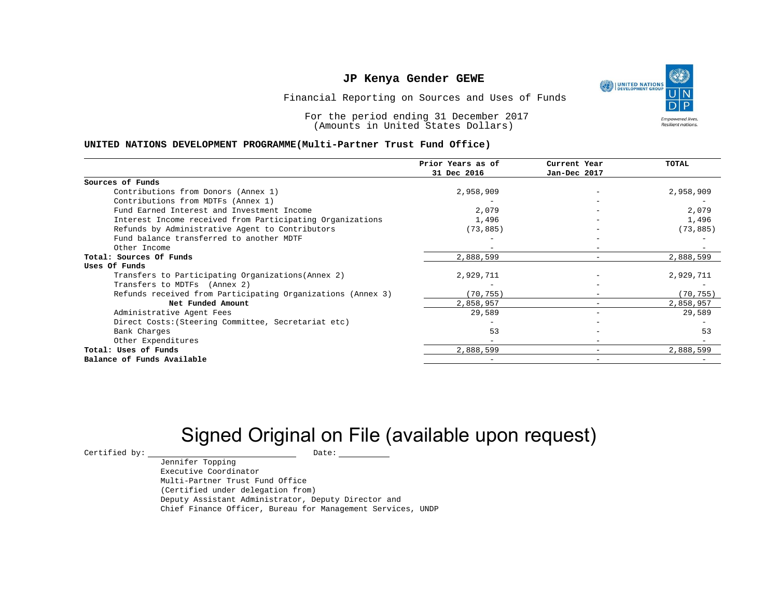UNITED NATIONS **Empowered lives** Resilient nations.

Financial Reporting on Sources and Uses of Funds

For the period ending 31 December 2017 (Amounts in United States Dollars)

#### **UNITED NATIONS DEVELOPMENT PROGRAMME(Multi-Partner Trust Fund Office)**

|                                                             | Prior Years as of | Current Year             | <b>TOTAL</b> |
|-------------------------------------------------------------|-------------------|--------------------------|--------------|
|                                                             | 31 Dec 2016       | Jan-Dec 2017             |              |
| Sources of Funds                                            |                   |                          |              |
| Contributions from Donors (Annex 1)                         | 2,958,909         |                          | 2,958,909    |
| Contributions from MDTFs (Annex 1)                          |                   |                          |              |
| Fund Earned Interest and Investment Income                  | 2,079             |                          | 2,079        |
| Interest Income received from Participating Organizations   | 1,496             | $\overline{\phantom{0}}$ | 1,496        |
| Refunds by Administrative Agent to Contributors             | (73, 885)         |                          | (73, 885)    |
| Fund balance transferred to another MDTF                    |                   |                          |              |
| Other Income                                                |                   |                          |              |
| Total: Sources Of Funds                                     | 2,888,599         |                          | 2,888,599    |
| Uses Of Funds                                               |                   |                          |              |
| Transfers to Participating Organizations (Annex 2)          | 2,929,711         |                          | 2,929,711    |
| Transfers to MDTFs (Annex 2)                                |                   |                          |              |
| Refunds received from Participating Organizations (Annex 3) | (70,755)          | -                        | (70, 755)    |
| Net Funded Amount                                           | 2,858,957         |                          | 2,858,957    |
| Administrative Agent Fees                                   | 29,589            | -                        | 29,589       |
| Direct Costs: (Steering Committee, Secretariat etc)         |                   |                          |              |
| Bank Charges                                                | 53                |                          | 53           |
| Other Expenditures                                          |                   |                          |              |
| Total: Uses of Funds                                        | 2,888,599         |                          | 2,888,599    |
| Balance of Funds Available                                  |                   |                          |              |

# Signed Original on File (available upon request)

 $\begin{array}{cccc} \text{Certified by:} & \text{\quad} & \text{Date:} \end{array}$ 

Jennifer Topping Executive Coordinator Multi-Partner Trust Fund Office (Certified under delegation from) Deputy Assistant Administrator, Deputy Director and Chief Finance Officer, Bureau for Management Services, UNDP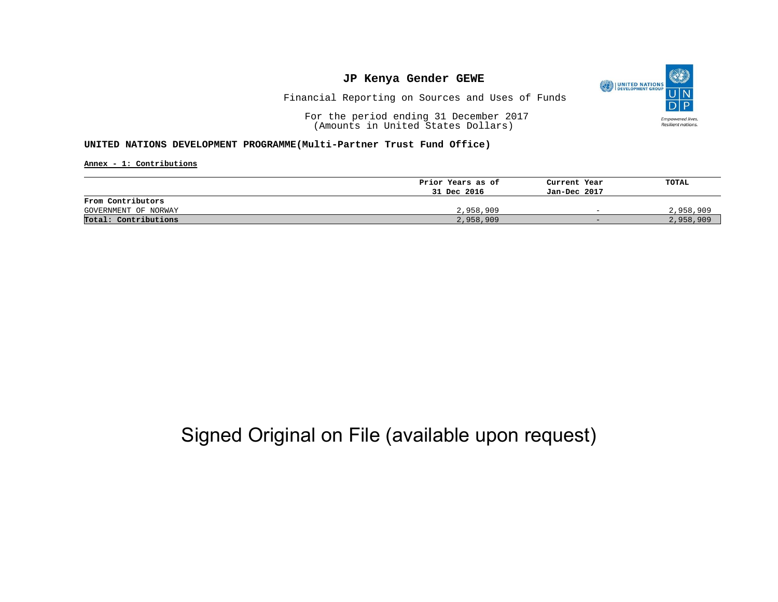

Financial Reporting on Sources and Uses of Funds

For the period ending 31 December 2017 (Amounts in United States Dollars)

#### **UNITED NATIONS DEVELOPMENT PROGRAMME(Multi-Partner Trust Fund Office)**

**Annex - 1: Contributions**

|                      | Prior Years as of | Current Year             | TOTAL     |
|----------------------|-------------------|--------------------------|-----------|
|                      | 31 Dec 2016       | Jan-Dec 2017             |           |
| From Contributors    |                   |                          |           |
| GOVERNMENT OF NORWAY | 2,958,909         | $\overline{\phantom{0}}$ | 2,958,909 |
| Total: Contributions | 2,958,909         | $-$                      | 2,958,909 |

## Signed Original on File (available upon request)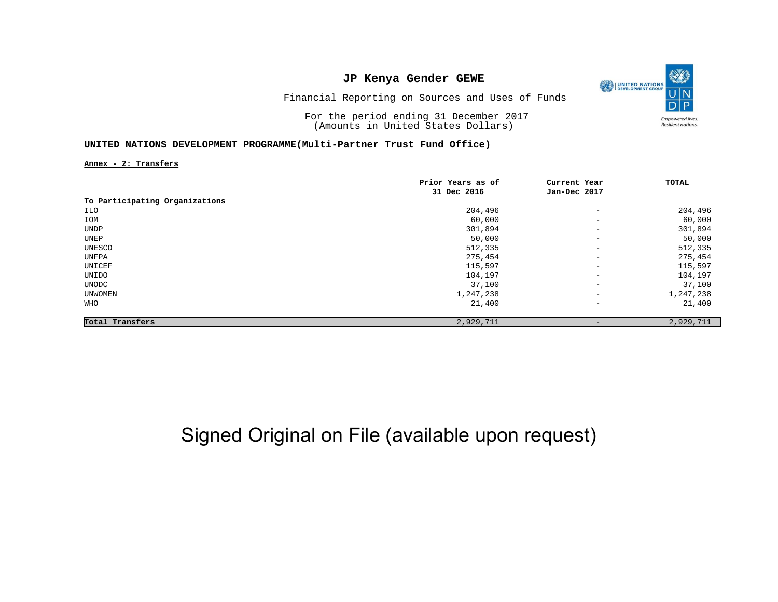

Financial Reporting on Sources and Uses of Funds

For the period ending 31 December 2017 (Amounts in United States Dollars)

#### **UNITED NATIONS DEVELOPMENT PROGRAMME(Multi-Partner Trust Fund Office)**

**Annex - 2: Transfers**

|                                | Prior Years as of | Current Year             | TOTAL     |
|--------------------------------|-------------------|--------------------------|-----------|
|                                | 31 Dec 2016       | Jan-Dec 2017             |           |
| To Participating Organizations |                   |                          |           |
| ILO                            | 204,496           | $\qquad \qquad -$        | 204,496   |
| IOM                            | 60,000            | $\qquad \qquad -$        | 60,000    |
| UNDP                           | 301,894           | $\qquad \qquad -$        | 301,894   |
| UNEP                           | 50,000            | $\overline{\phantom{a}}$ | 50,000    |
| UNESCO                         | 512,335           | $\overline{\phantom{a}}$ | 512,335   |
| UNFPA                          | 275,454           | $\overline{\phantom{a}}$ | 275,454   |
| UNICEF                         | 115,597           | $\qquad \qquad -$        | 115,597   |
| UNIDO                          | 104,197           | $\qquad \qquad -$        | 104,197   |
| UNODC                          | 37,100            | $\qquad \qquad -$        | 37,100    |
| UNWOMEN                        | 1,247,238         | $\overline{\phantom{a}}$ | 1,247,238 |
| WHO                            | 21,400            | $\qquad \qquad -$        | 21,400    |
| Total Transfers                | 2,929,711         | $\overline{\phantom{a}}$ | 2,929,711 |

# Signed Original on File (available upon request)